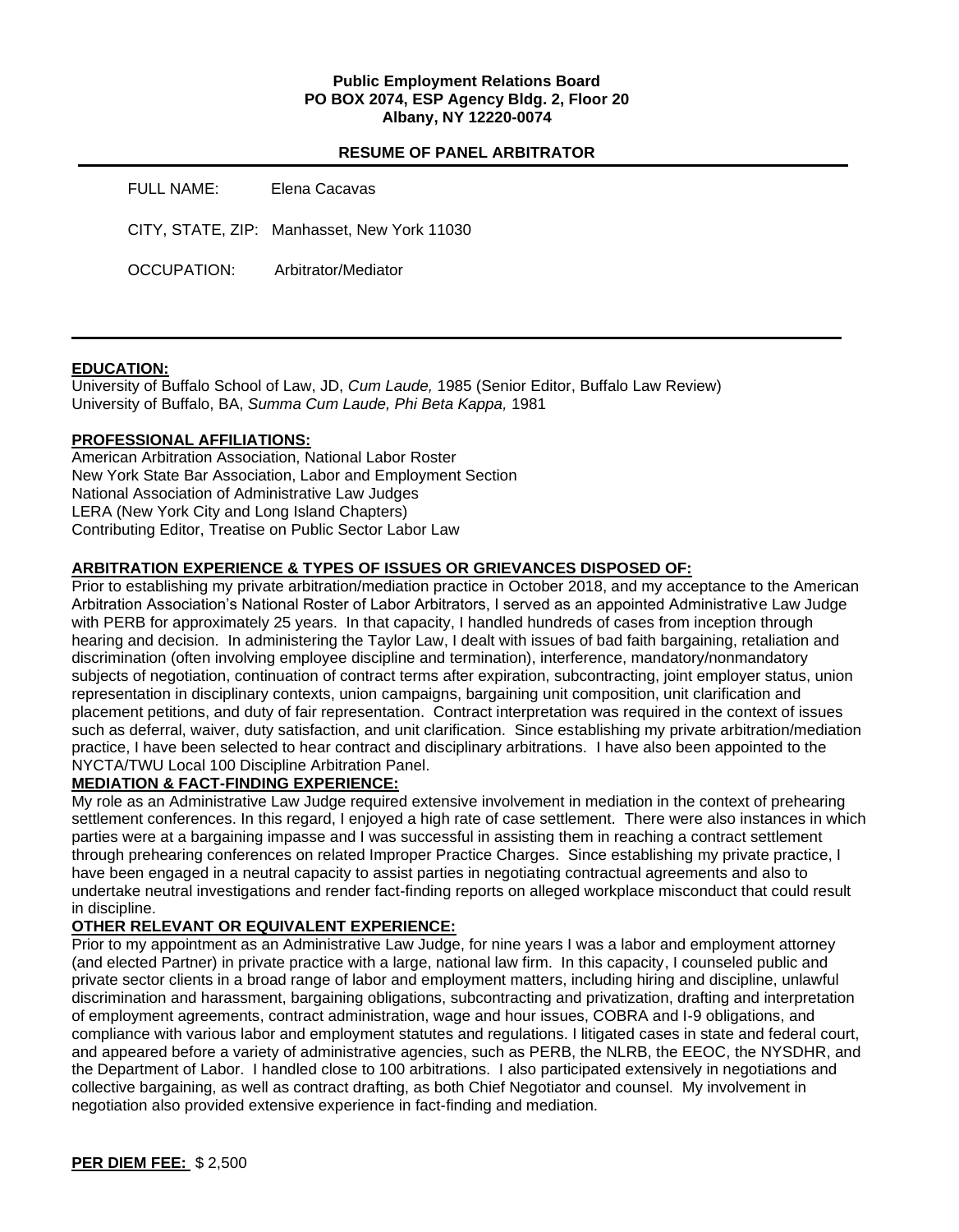## **Public Employment Relations Board PO BOX 2074, ESP Agency Bldg. 2, Floor 20 Albany, NY 12220-0074**

## **RESUME OF PANEL ARBITRATOR**

| FULL NAME:  | Elena Cacavas                               |
|-------------|---------------------------------------------|
|             | CITY, STATE, ZIP: Manhasset, New York 11030 |
| OCCUPATION: | Arbitrator/Mediator                         |

## **EDUCATION:**

University of Buffalo School of Law, JD, *Cum Laude,* 1985 (Senior Editor, Buffalo Law Review) University of Buffalo, BA, *Summa Cum Laude, Phi Beta Kappa,* 1981

# **PROFESSIONAL AFFILIATIONS:**

American Arbitration Association, National Labor Roster New York State Bar Association, Labor and Employment Section National Association of Administrative Law Judges LERA (New York City and Long Island Chapters) Contributing Editor, Treatise on Public Sector Labor Law

# **ARBITRATION EXPERIENCE & TYPES OF ISSUES OR GRIEVANCES DISPOSED OF:**

Prior to establishing my private arbitration/mediation practice in October 2018, and my acceptance to the American Arbitration Association's National Roster of Labor Arbitrators, I served as an appointed Administrative Law Judge with PERB for approximately 25 years. In that capacity, I handled hundreds of cases from inception through hearing and decision. In administering the Taylor Law, I dealt with issues of bad faith bargaining, retaliation and discrimination (often involving employee discipline and termination), interference, mandatory/nonmandatory subjects of negotiation, continuation of contract terms after expiration, subcontracting, joint employer status, union representation in disciplinary contexts, union campaigns, bargaining unit composition, unit clarification and placement petitions, and duty of fair representation. Contract interpretation was required in the context of issues such as deferral, waiver, duty satisfaction, and unit clarification. Since establishing my private arbitration/mediation practice, I have been selected to hear contract and disciplinary arbitrations. I have also been appointed to the NYCTA/TWU Local 100 Discipline Arbitration Panel.

## **MEDIATION & FACT-FINDING EXPERIENCE:**

My role as an Administrative Law Judge required extensive involvement in mediation in the context of prehearing settlement conferences. In this regard, I enjoyed a high rate of case settlement. There were also instances in which parties were at a bargaining impasse and I was successful in assisting them in reaching a contract settlement through prehearing conferences on related Improper Practice Charges. Since establishing my private practice, I have been engaged in a neutral capacity to assist parties in negotiating contractual agreements and also to undertake neutral investigations and render fact-finding reports on alleged workplace misconduct that could result in discipline.

## **OTHER RELEVANT OR EQUIVALENT EXPERIENCE:**

Prior to my appointment as an Administrative Law Judge, for nine years I was a labor and employment attorney (and elected Partner) in private practice with a large, national law firm. In this capacity, I counseled public and private sector clients in a broad range of labor and employment matters, including hiring and discipline, unlawful discrimination and harassment, bargaining obligations, subcontracting and privatization, drafting and interpretation of employment agreements, contract administration, wage and hour issues, COBRA and I-9 obligations, and compliance with various labor and employment statutes and regulations. I litigated cases in state and federal court, and appeared before a variety of administrative agencies, such as PERB, the NLRB, the EEOC, the NYSDHR, and the Department of Labor. I handled close to 100 arbitrations. I also participated extensively in negotiations and collective bargaining, as well as contract drafting, as both Chief Negotiator and counsel. My involvement in negotiation also provided extensive experience in fact-finding and mediation.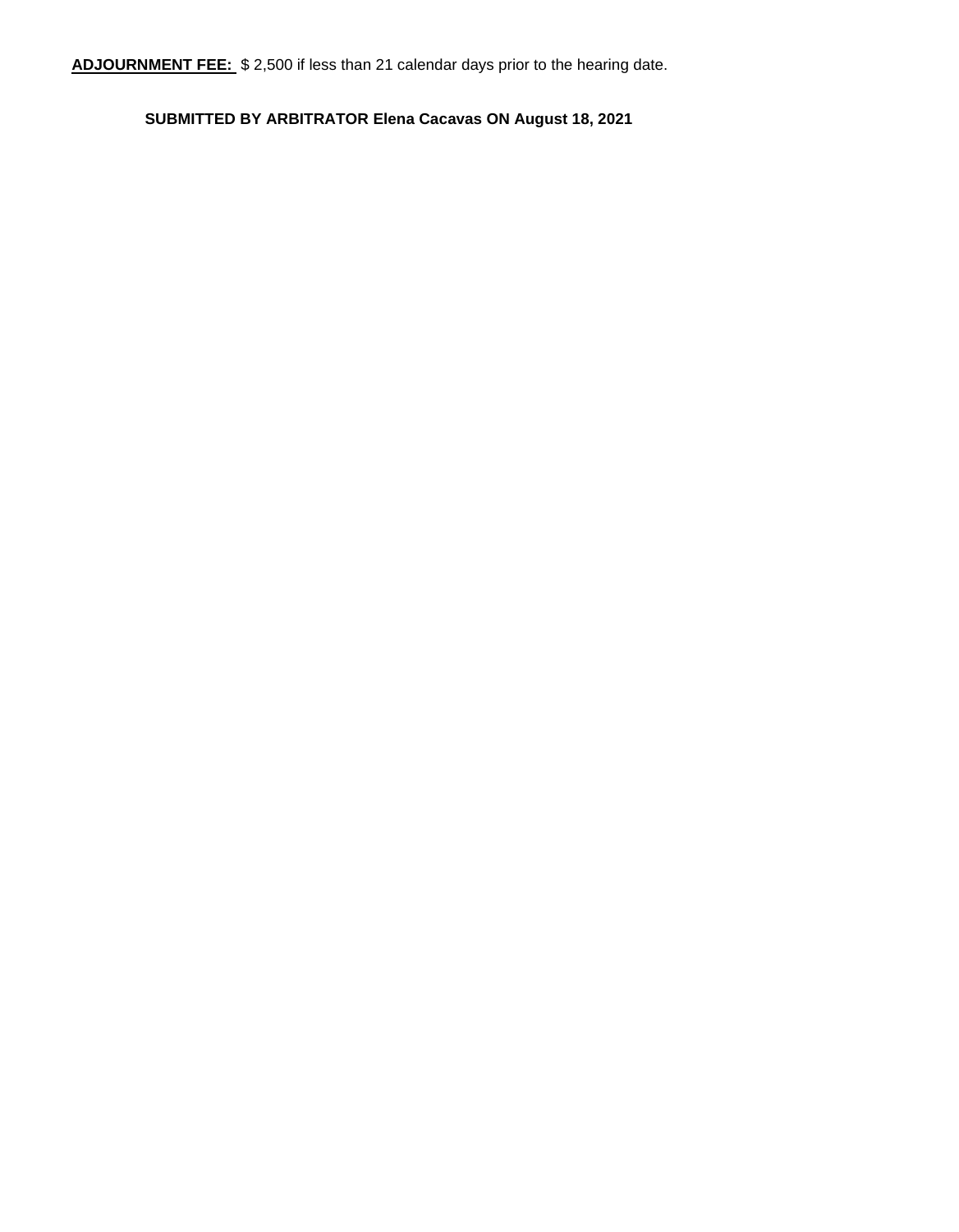**ADJOURNMENT FEE:** \$ 2,500 if less than 21 calendar days prior to the hearing date.

**SUBMITTED BY ARBITRATOR Elena Cacavas ON August 18, 2021**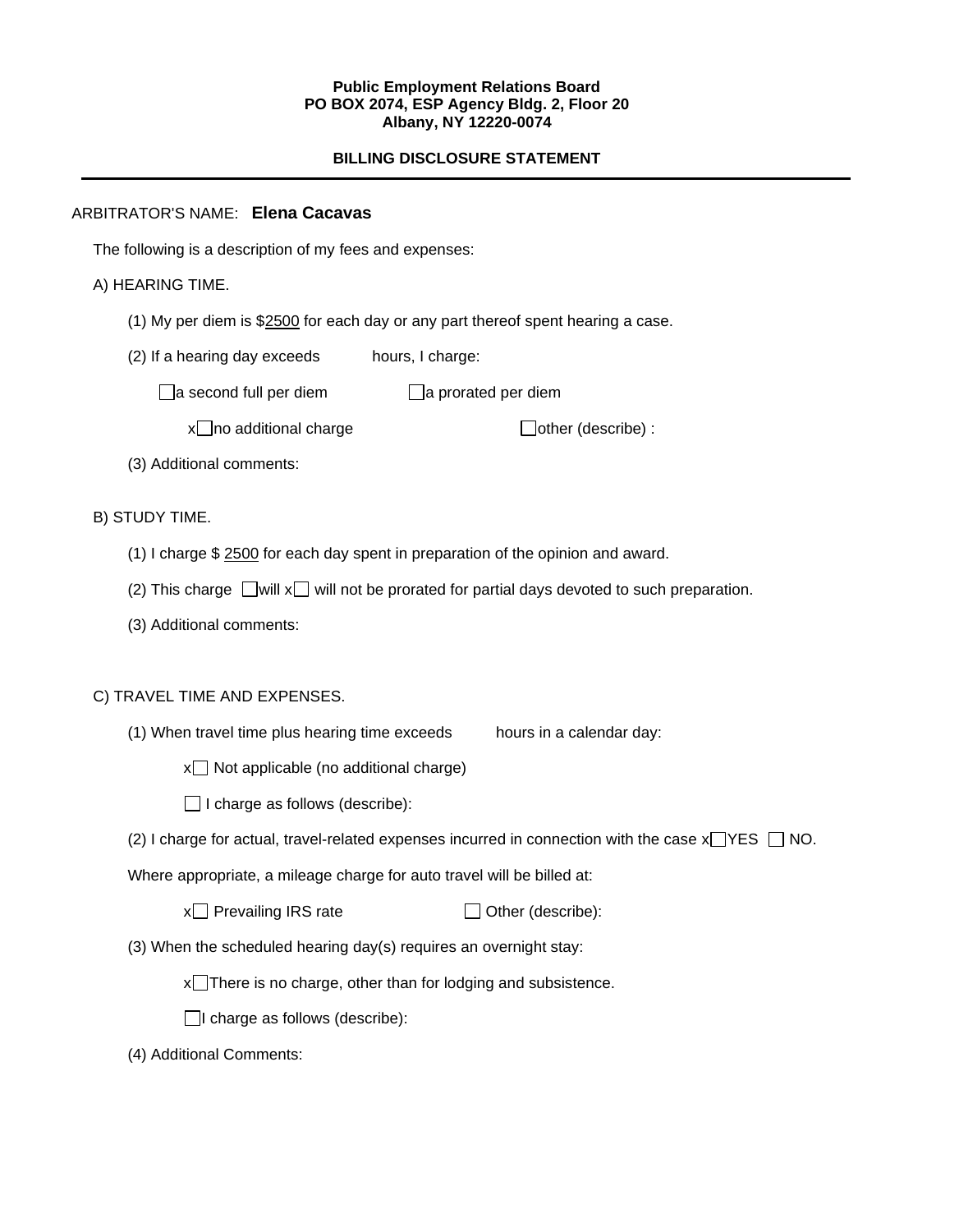#### **Public Employment Relations Board PO BOX 2074, ESP Agency Bldg. 2, Floor 20 Albany, NY 12220-0074**

# **BILLING DISCLOSURE STATEMENT**

# ARBITRATOR'S NAME: **Elena Cacavas**

The following is a description of my fees and expenses:

# A) HEARING TIME.

- (1) My per diem is \$2500 for each day or any part thereof spent hearing a case.
- (2) If a hearing day exceeds hours, I charge:

 $\Box$ a second full per diem  $\Box$ a prorated per diem

 $x \Box$  no additional charge  $\Box$  other (describe) :

(3) Additional comments:

B) STUDY TIME.

- (1) I charge \$ 2500 for each day spent in preparation of the opinion and award.
- (2) This charge  $\Box$  will x  $\Box$  will not be prorated for partial days devoted to such preparation.
- (3) Additional comments:

## C) TRAVEL TIME AND EXPENSES.

(1) When travel time plus hearing time exceeds hours in a calendar day:

 $x \Box$  Not applicable (no additional charge)

 $\Box$  I charge as follows (describe):

(2) I charge for actual, travel-related expenses incurred in connection with the case  $x \rightarrow YES \Box NO$ .

Where appropriate, a mileage charge for auto travel will be billed at:

 $x \cap P$  Prevailing IRS rate  $\Box$  Other (describe):

(3) When the scheduled hearing day(s) requires an overnight stay:

 $x$ There is no charge, other than for lodging and subsistence.

 $\Box$ I charge as follows (describe):

(4) Additional Comments: